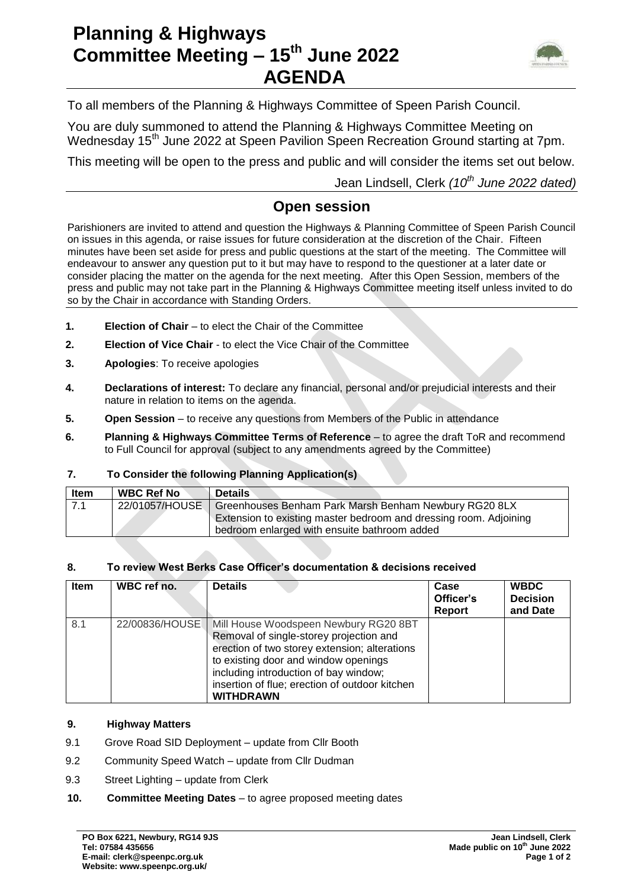# **Planning & Highways Committee Meeting – 15th June 2022 AGENDA**



To all members of the Planning & Highways Committee of Speen Parish Council.

You are duly summoned to attend the Planning & Highways Committee Meeting on Wednesday 15<sup>th</sup> June 2022 at Speen Pavilion Speen Recreation Ground starting at 7pm.

This meeting will be open to the press and public and will consider the items set out below.

Jean Lindsell, Clerk *(10th June 2022 dated)*

### **Open session**

Parishioners are invited to attend and question the Highways & Planning Committee of Speen Parish Council on issues in this agenda, or raise issues for future consideration at the discretion of the Chair. Fifteen minutes have been set aside for press and public questions at the start of the meeting. The Committee will endeavour to answer any question put to it but may have to respond to the questioner at a later date or consider placing the matter on the agenda for the next meeting. After this Open Session, members of the press and public may not take part in the Planning & Highways Committee meeting itself unless invited to do so by the Chair in accordance with Standing Orders.

- **1. Election of Chair** to elect the Chair of the Committee
- **2. Election of Vice Chair**  to elect the Vice Chair of the Committee
- **3. Apologies**: To receive apologies
- **4. Declarations of interest:** To declare any financial, personal and/or prejudicial interests and their nature in relation to items on the agenda.
- **5. Open Session**  to receive any questions from Members of the Public in attendance
- **6. Planning & Highways Committee Terms of Reference**  to agree the draft ToR and recommend to Full Council for approval (subject to any amendments agreed by the Committee)

#### **7. To Consider the following Planning Application(s)**

| Item | <b>WBC Ref No</b> | <b>Details</b>                                                                                                                                                                              |
|------|-------------------|---------------------------------------------------------------------------------------------------------------------------------------------------------------------------------------------|
| 7.1  |                   | 22/01057/HOUSE   Greenhouses Benham Park Marsh Benham Newbury RG20 8LX<br>Extension to existing master bedroom and dressing room. Adjoining<br>bedroom enlarged with ensuite bathroom added |

#### **8. To review West Berks Case Officer's documentation & decisions received**

| <b>Item</b> | WBC ref no.    | <b>Details</b>                                                                                                                                                                                                                                                                           | Case<br>Officer's<br><b>Report</b> | <b>WBDC</b><br><b>Decision</b><br>and Date |
|-------------|----------------|------------------------------------------------------------------------------------------------------------------------------------------------------------------------------------------------------------------------------------------------------------------------------------------|------------------------------------|--------------------------------------------|
| 8.1         | 22/00836/HOUSE | Mill House Woodspeen Newbury RG20 8BT<br>Removal of single-storey projection and<br>erection of two storey extension; alterations<br>to existing door and window openings<br>including introduction of bay window;<br>insertion of flue; erection of outdoor kitchen<br><b>WITHDRAWN</b> |                                    |                                            |

#### **9. Highway Matters**

- 9.1 Grove Road SID Deployment update from Cllr Booth
- 9.2 Community Speed Watch update from Cllr Dudman
- 9.3 Street Lighting update from Clerk
- **10. Committee Meeting Dates** to agree proposed meeting dates